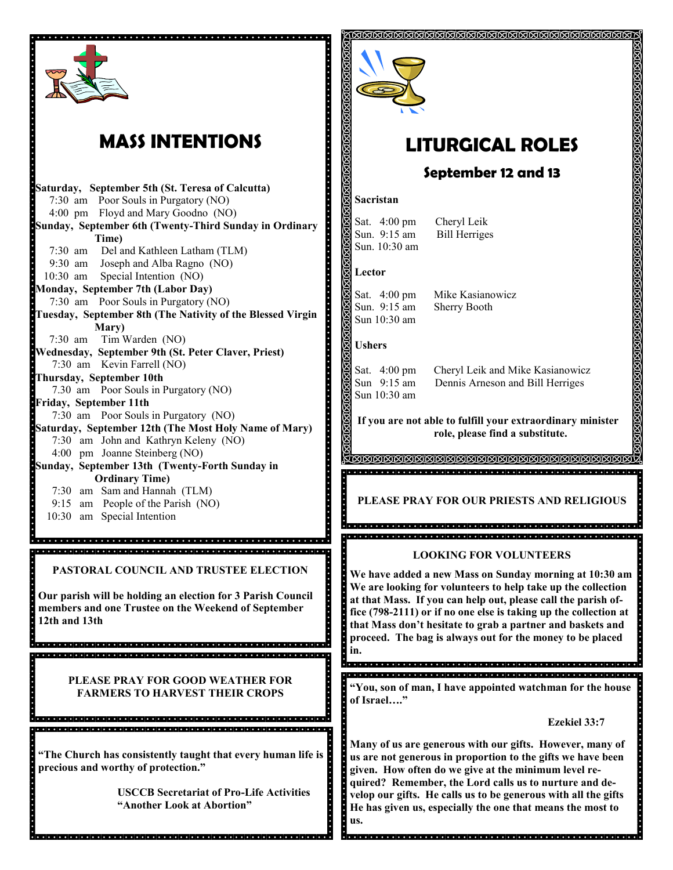

# **MASS INTENTIONS**

**Saturday, September 5th (St. Teresa of Calcutta)** 7:30 am Poor Souls in Purgatory (NO) 4:00 pm Floyd and Mary Goodno (NO) **Sunday, September 6th (Twenty-Third Sunday in Ordinary Time)** 7:30 am Del and Kathleen Latham (TLM) 9:30 am Joseph and Alba Ragno (NO) 10:30 am Special Intention (NO) **Monday, September 7th (Labor Day)** 7:30 am Poor Souls in Purgatory (NO) **Tuesday, September 8th (The Nativity of the Blessed Virgin Mary)**  7:30 am Tim Warden (NO) **Wednesday, September 9th (St. Peter Claver, Priest)** 7:30 am Kevin Farrell (NO) **Thursday, September 10th** 7.30 am Poor Souls in Purgatory (NO) **Friday, September 11th** 7:30 am Poor Souls in Purgatory (NO) **Saturday, September 12th (The Most Holy Name of Mary)** 7:30 am John and Kathryn Keleny (NO) 4:00 pm Joanne Steinberg (NO) **Sunday, September 13th (Twenty-Forth Sunday in Ordinary Time)**  7:30 am Sam and Hannah (TLM) 9:15 am People of the Parish (NO) 10:30 am Special Intention <u> a a a a a das condadas a a a das condadas da a a a das condadas da a a condadão </u> .<br>Inicial diale diale diale diale diale diale diale diale diale diale diale diale diale diale diale dale diale d **PASTORAL COUNCIL AND TRUSTEE ELECTION Our parish will be holding an election for 3 Parish Council members and one Trustee on the Weekend of September 12th and 13th** .<br>International de la ciona de la ciona de la ciona de la ciona de la ciona de la ciona de la ciona de la ciona **PLEASE PRAY FOR GOOD WEATHER FOR FARMERS TO HARVEST THEIR CROPS**i sistema sistema kitata kitata kitata kitata kitata kitata kitata kitata kitata kitata kitata kitata kita **"The Church has consistently taught that every human life is precious and worthy of protection." USCCB Secretariat of Pro-Life Activities "Another Look at Abortion"**



# **LITURGICAL ROLES**

## **September 12 and 13**

#### **Sacristan**

Sat. 4:00 pm Cheryl Leik Sun. 9:15 am Bill Herriges Sun. 10:30 am

#### **Lector**

Sun. 9:15 am Sherry Booth Sun 10:30 am

Sat. 4:00 pm Mike Kasianowicz

#### **Ushers**

Sun 10:30 am

Sat. 4:00 pm Cheryl Leik and Mike Kasianowicz Sun 9:15 am Dennis Arneson and Bill Herriges

**If you are not able to fulfill your extraordinary minister role, please find a substitute.** 

**MAMAMAMAMAMAMAMAMAMA** 

**PLEASE PRAY FOR OUR PRIESTS AND RELIGIOUS**

s<br>Dooplaagtaa ja ala ala ala ja jala ja jala ja jala ja jala ja jala ja jala jala jala jala jala jala jala jala

## **LOOKING FOR VOLUNTEERS**

**We have added a new Mass on Sunday morning at 10:30 am We are looking for volunteers to help take up the collection at that Mass. If you can help out, please call the parish office (798-2111) or if no one else is taking up the collection at that Mass don't hesitate to grab a partner and baskets and proceed. The bag is always out for the money to be placed in.** 

#### 

**"You, son of man, I have appointed watchman for the house of Israel…."**

#### **Ezekiel 33:7**

**Many of us are generous with our gifts. However, many of us are not generous in proportion to the gifts we have been given. How often do we give at the minimum level required? Remember, the Lord calls us to nurture and develop our gifts. He calls us to be generous with all the gifts He has given us, especially the one that means the most to us.**